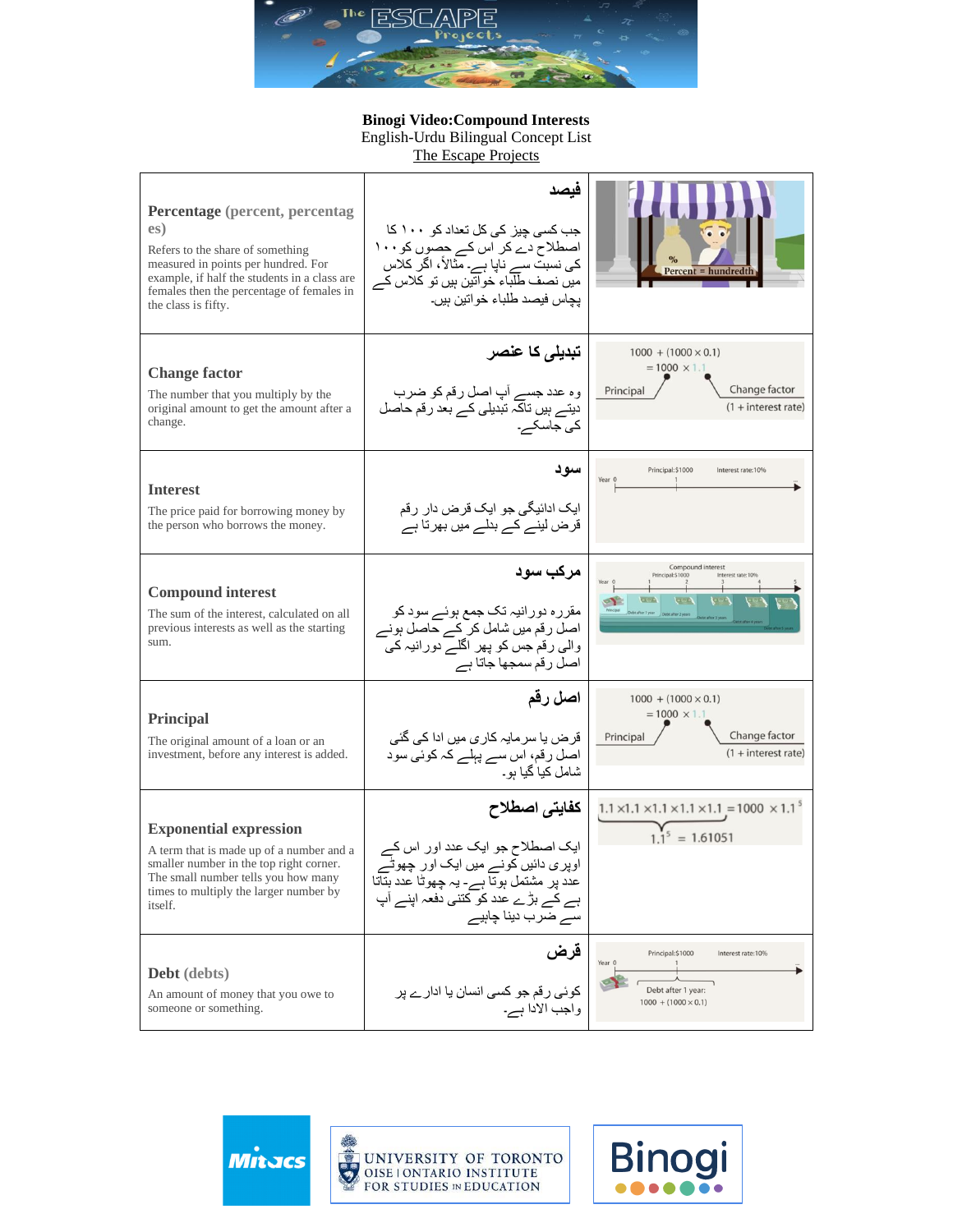

## **Binogi Video:Compound Interests**

English-Urdu Bilingual Concept List

[The Escape Projects](https://escapeprojects.ca/)

| <b>Percentage</b> (percent, percentag<br>es)<br>Refers to the share of something<br>measured in points per hundred. For<br>example, if half the students in a class are<br>females then the percentage of females in<br>the class is fifty. | فيصد<br>جب کسی چیز کی کل تعداد کو ۱۰۰ کا<br>اصطلاح دے کر اس کے حصوں کو ۱۰۰<br>کی نسبت سے ناپا ہے۔ مثالاً، اگر کلاس<br>میں نصف طلباء خواتین ہیں تو کلاس کے<br>يجاس فيصد طلباء خوانين ہيں۔       | Percent = hundredtl                                                                                                        |
|---------------------------------------------------------------------------------------------------------------------------------------------------------------------------------------------------------------------------------------------|------------------------------------------------------------------------------------------------------------------------------------------------------------------------------------------------|----------------------------------------------------------------------------------------------------------------------------|
| <b>Change factor</b><br>The number that you multiply by the<br>original amount to get the amount after a<br>change.                                                                                                                         | تبدیلی کا علصر<br>وہ عدد جسے آپ اصل رقم کو ضرب<br>دیتے ہیں تاکہ تبدیلی کے بعد رقم حاصل<br>کی جاسکے۔                                                                                            | $1000 + (1000 \times 0.1)$<br>$= 1000 \times 1.1$<br>Change factor<br>Principal<br>$(1 + interest rate)$                   |
| <b>Interest</b><br>The price paid for borrowing money by<br>the person who borrows the money.                                                                                                                                               | سود<br>ایک ادائیگی جو ایک قرض دار رقم<br>قرض لینے کے بدلے میں بھر تا ہے                                                                                                                        | Principal: \$1000<br>Interest rate:10%<br>Year 0                                                                           |
| <b>Compound interest</b><br>The sum of the interest, calculated on all<br>previous interests as well as the starting<br>sum.                                                                                                                | مرکب سود<br>مقررہ دورانیہ تک جمع ہوئے سود کو<br>اصل رقم میں شامل کر کے حاصل ہونے<br>والی رقم جس کو پھر اگلے دورانیہ کی<br>اصل رقم سمجها جاتا ہے                                                | Compound interest<br>Principal: \$1000<br>Interest rate: 10%<br><b>GLOCK</b><br>$\overline{C}$<br>トー<br>lebt after 2 years |
| Principal<br>The original amount of a loan or an<br>investment, before any interest is added.                                                                                                                                               | اصل رقم<br>قرض یا سر مایہ کار ی میں ادا کی گئی<br>اصل رقم، اس سے پہلے کہ کوئی سود<br>شامل کیا گیا ہو۔                                                                                          | $1000 + (1000 \times 0.1)$<br>$= 1000 \times 1.1$<br>Change factor<br>Principal<br>$(1 + interest rate)$                   |
| <b>Exponential expression</b><br>A term that is made up of a number and a<br>smaller number in the top right corner.<br>The small number tells you how many<br>times to multiply the larger number by<br>itself.                            | كفايتى اصطلاح<br>ایک اصطلاح جو ایک عدد اور اس کے<br>اوپر ی دائیں کونے میں ایک اور چھوٹے<br>عدد پر مشتمل ہوتا ہے۔ یہ چھوٹا عدد بناتا<br>ہے کے بڑے عدد کو کتنی دفعہ اپنے آپ<br>سے ضرب دینا چاہیے | $1.1 \times 1.1 \times 1.1 \times 1.1 \times 1.1 = 1000 \times 1.1^5$<br>$= 1.61051$                                       |
| Debt (debts)<br>An amount of money that you owe to<br>someone or something.                                                                                                                                                                 | قرض<br>کوئی رقم جو کسی انسان یا ادارے پر<br>واجب الادا ہے۔                                                                                                                                     | Principal: \$1000<br>Interest rate:10%<br>Year 0<br>Debt after 1 year:<br>$1000 + (1000 \times 0.1)$                       |